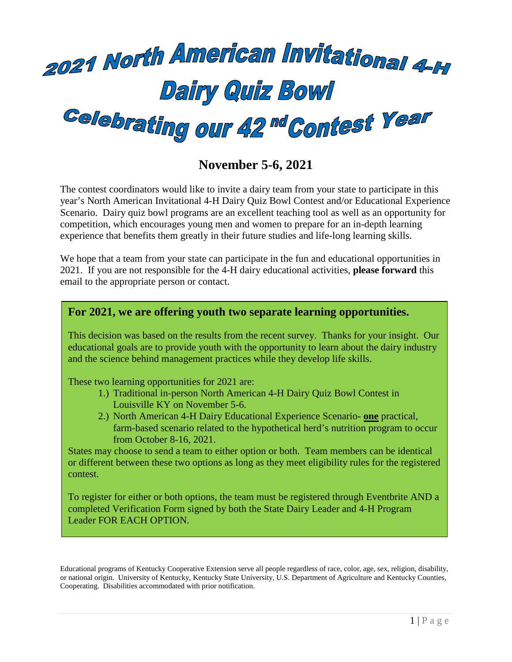

# **November 5-6, 2021**

The contest coordinators would like to invite a dairy team from your state to participate in this year's North American Invitational 4-H Dairy Quiz Bowl Contest and/or Educational Experience Scenario. Dairy quiz bowl programs are an excellent teaching tool as well as an opportunity for competition, which encourages young men and women to prepare for an in-depth learning experience that benefits them greatly in their future studies and life-long learning skills.

We hope that a team from your state can participate in the fun and educational opportunities in 2021. If you are not responsible for the 4-H dairy educational activities, **please forward** this email to the appropriate person or contact.

#### **For 2021, we are offering youth two separate learning opportunities.**

This decision was based on the results from the recent survey. Thanks for your insight. Our educational goals are to provide youth with the opportunity to learn about the dairy industry and the science behind management practices while they develop life skills.

These two learning opportunities for 2021 are:

- 1.) Traditional in-person North American 4-H Dairy Quiz Bowl Contest in Louisville KY on November 5-6.
- 2.) North American 4-H Dairy Educational Experience Scenario- **one** practical, farm-based scenario related to the hypothetical herd's nutrition program to occur from October 8-16, 2021.

States may choose to send a team to either option or both. Team members can be identical or different between these two options as long as they meet eligibility rules for the registered contest.

To register for either or both options, the team must be registered through Eventbrite AND a completed Verification Form signed by both the State Dairy Leader and 4-H Program Leader FOR EACH OPTION.

Educational programs of Kentucky Cooperative Extension serve all people regardless of race, color, age, sex, religion, disability, or national origin. University of Kentucky, Kentucky State University, U.S. Department of Agriculture and Kentucky Counties, Cooperating. Disabilities accommodated with prior notification.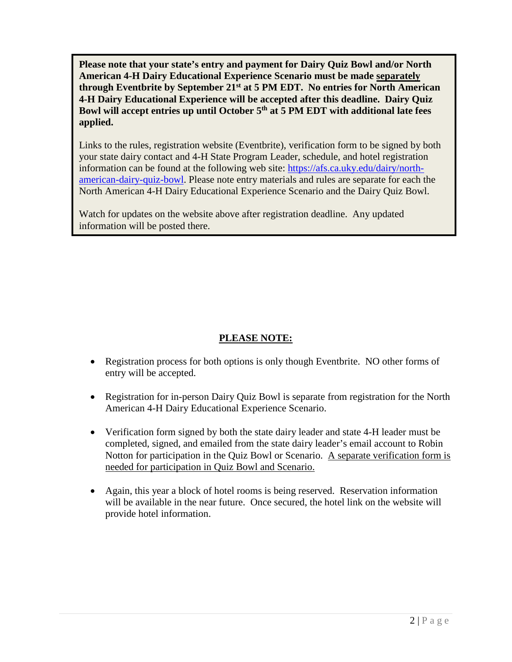**Please note that your state's entry and payment for Dairy Quiz Bowl and/or North American 4-H Dairy Educational Experience Scenario must be made separately through Eventbrite by September 21st at 5 PM EDT. No entries for North American 4-H Dairy Educational Experience will be accepted after this deadline. Dairy Quiz Bowl will accept entries up until October 5th at 5 PM EDT with additional late fees applied.**

Links to the rules, registration website (Eventbrite), verification form to be signed by both your state dairy contact and 4-H State Program Leader, schedule, and hotel registration information can be found at the following web site: [https://afs.ca.uky.edu/dairy/north](https://afs.ca.uky.edu/dairy/north-american-dairy-quiz-bowl)[american-dairy-quiz-bowl.](https://afs.ca.uky.edu/dairy/north-american-dairy-quiz-bowl) Please note entry materials and rules are separate for each the North American 4-H Dairy Educational Experience Scenario and the Dairy Quiz Bowl.

Watch for updates on the website above after registration deadline. Any updated information will be posted there.

## **PLEASE NOTE:**

- Registration process for both options is only though Eventbrite. NO other forms of entry will be accepted.
- Registration for in-person Dairy Quiz Bowl is separate from registration for the North American 4-H Dairy Educational Experience Scenario.
- Verification form signed by both the state dairy leader and state 4-H leader must be completed, signed, and emailed from the state dairy leader's email account to Robin Notton for participation in the Quiz Bowl or Scenario. A separate verification form is needed for participation in Quiz Bowl and Scenario.
- Again, this year a block of hotel rooms is being reserved. Reservation information will be available in the near future. Once secured, the hotel link on the website will provide hotel information.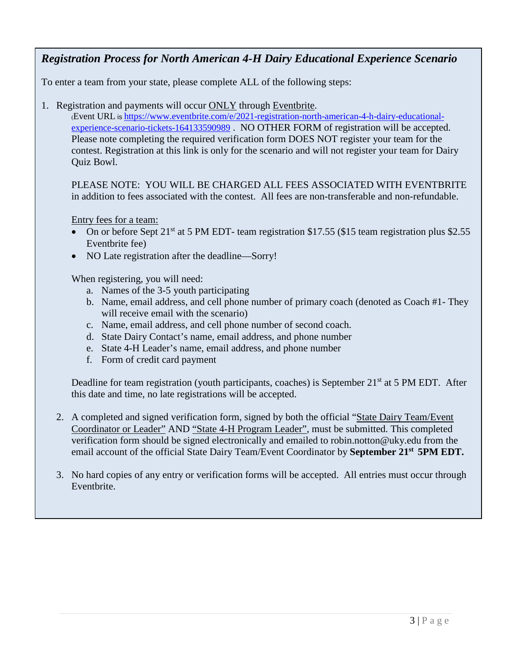# *Registration Process for North American 4-H Dairy Educational Experience Scenario*

To enter a team from your state, please complete ALL of the following steps:

1. Registration and payments will occur ONLY through [Eventbrite.](https://www.eventbrite.com/e/north-american-4-h-dairy-quiz-bowl-tickets-36589493159)

(Event URL is [https://www.eventbrite.com/e/2021-registration-north-american-4-h-dairy-educational](https://www.eventbrite.com/e/2021-registration-north-american-4-h-dairy-educational-experience-scenario-tickets-164133590989)[experience-scenario-tickets-164133590989](https://www.eventbrite.com/e/2021-registration-north-american-4-h-dairy-educational-experience-scenario-tickets-164133590989) . NO OTHER FORM of registration will be accepted. Please note completing the required verification form DOES NOT register your team for the contest. Registration at this link is only for the scenario and will not register your team for Dairy Quiz Bowl.

PLEASE NOTE: YOU WILL BE CHARGED ALL FEES ASSOCIATED WITH EVENTBRITE in addition to fees associated with the contest. All fees are non-transferable and non-refundable.

Entry fees for a team:

- On or before Sept 21<sup>st</sup> at 5 PM EDT- team registration \$17.55 (\$15 team registration plus \$2.55) Eventbrite fee)
- NO Late registration after the deadline—Sorry!

When registering, you will need:

- a. Names of the 3-5 youth participating
- b. Name, email address, and cell phone number of primary coach (denoted as Coach #1- They will receive email with the scenario)
- c. Name, email address, and cell phone number of second coach.
- d. State Dairy Contact's name, email address, and phone number
- e. State 4-H Leader's name, email address, and phone number
- f. Form of credit card payment

Deadline for team registration (youth participants, coaches) is September  $21<sup>st</sup>$  at 5 PM EDT. After this date and time, no late registrations will be accepted.

- 2. A completed and signed verification form, signed by both the official "State Dairy Team/Event Coordinator or Leader" AND "State 4-H Program Leader", must be submitted. This completed verification form should be signed electronically and emailed to [robin.notton@uky.edu](mailto:robin.notton@uky.edu) from the email account of the official State Dairy Team/Event Coordinator by **September 21st 5PM EDT.**
- 3. No hard copies of any entry or verification forms will be accepted. All entries must occur through Eventbrite.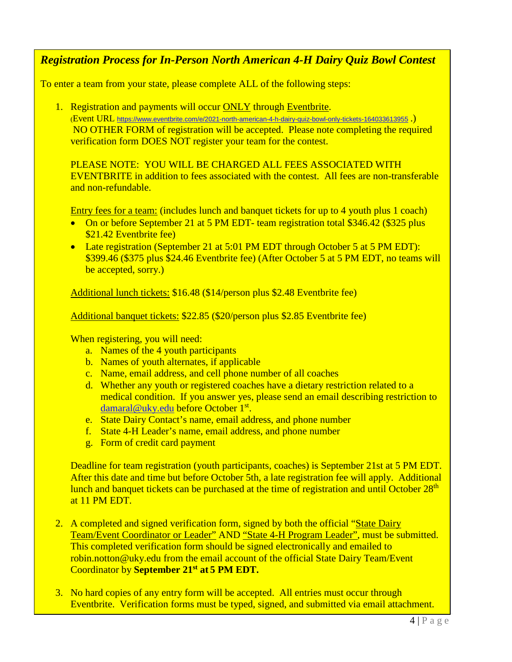## *Registration Process for In-Person North American 4-H Dairy Quiz Bowl Contest*

To enter a team from your state, please complete ALL of the following steps:

1. Registration and payments will occur ONLY through [Eventbrite.](https://www.eventbrite.com/e/north-american-4-h-dairy-quiz-bowl-tickets-36589493159)

(Event URL <https://www.eventbrite.com/e/2021-north-american-4-h-dairy-quiz-bowl-only-tickets-164033613955> .) NO OTHER FORM of registration will be accepted. Please note completing the required verification form DOES NOT register your team for the contest.

PLEASE NOTE: YOU WILL BE CHARGED ALL FEES ASSOCIATED WITH EVENTBRITE in addition to fees associated with the contest. All fees are non-transferable and non-refundable.

Entry fees for a team: (includes lunch and banquet tickets for up to 4 youth plus 1 coach)

- On or before September 21 at 5 PM EDT- team registration total \$346.42 (\$325 plus) \$21.42 Eventbrite fee)
- Late registration (September 21 at 5:01 PM EDT through October 5 at 5 PM EDT): \$399.46 (\$375 plus \$24.46 Eventbrite fee) (After October 5 at 5 PM EDT, no teams will be accepted, sorry.)

Additional lunch tickets: \$16.48 (\$14/person plus \$2.48 Eventbrite fee)

Additional banquet tickets: \$22.85 (\$20/person plus \$2.85 Eventbrite fee)

When registering, you will need:

- a. Names of the 4 youth participants
- b. Names of youth alternates, if applicable
- c. Name, email address, and cell phone number of all coaches
- d. Whether any youth or registered coaches have a dietary restriction related to a medical condition. If you answer yes, please send an email describing restriction to [damaral@uky.edu](mailto:damaral@uky.edu) before October 1<sup>st</sup>.
- e. State Dairy Contact's name, email address, and phone number
- f. State 4-H Leader's name, email address, and phone number
- g. Form of credit card payment

Deadline for team registration (youth participants, coaches) is September 21st at 5 PM EDT. After this date and time but before October 5th, a late registration fee will apply. Additional lunch and banquet tickets can be purchased at the time of registration and until October 28<sup>th</sup> at 11 PM EDT.

- 2. A completed and signed verification form, signed by both the official "State Dairy Team/Event Coordinator or Leader" AND "State 4-H Program Leader", must be submitted. This completed verification form should be signed electronically and emailed to [robin.notton@uky.edu](mailto:robin.notton@uky.edu) from the email account of the official State Dairy Team/Event Coordinator by **September 21st at 5 PM EDT.**
- 3. No hard copies of any entry form will be accepted. All entries must occur through Eventbrite. Verification forms must be typed, signed, and submitted via email attachment.